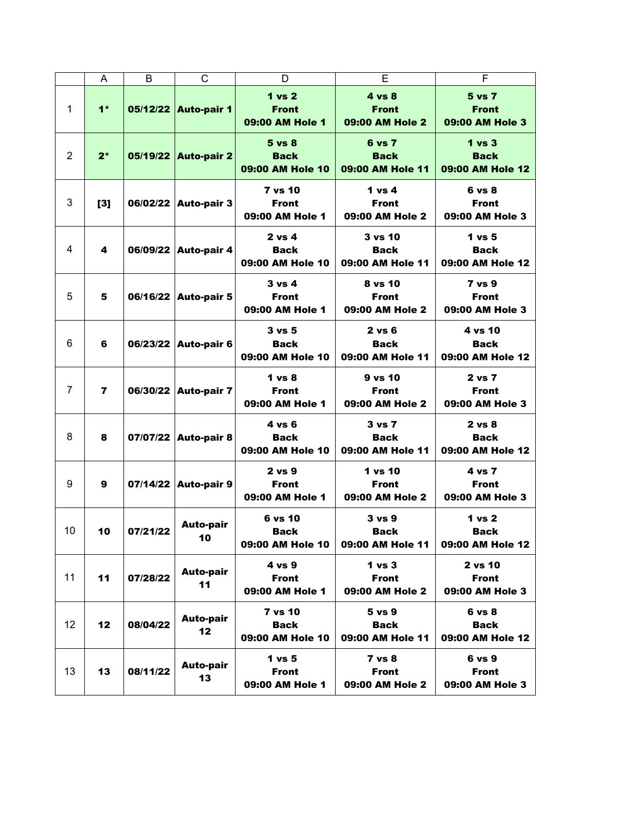|                | A              | B        | C                      | D                                                    | E                                                    | F                                                    |
|----------------|----------------|----------|------------------------|------------------------------------------------------|------------------------------------------------------|------------------------------------------------------|
| 1              | $1*$           |          | 05/12/22 Auto-pair 1   | 1 vs 2<br><b>Front</b><br>09:00 AM Hole 1            | $4 \text{ vs } 8$<br><b>Front</b><br>09:00 AM Hole 2 | 5 vs 7<br><b>Front</b><br>09:00 AM Hole 3            |
| $\overline{2}$ | $2^*$          |          | 05/19/22 Auto-pair 2   | $5 \text{ vs } 8$<br><b>Back</b><br>09:00 AM Hole 10 | 6 vs 7<br><b>Back</b><br>09:00 AM Hole 11            | 1 vs 3<br><b>Back</b><br>09:00 AM Hole 12            |
| 3              | [3]            |          | 06/02/22 Auto-pair 3   | <b>7 vs 10</b><br><b>Front</b><br>09:00 AM Hole 1    | 1 vs 4<br><b>Front</b><br>09:00 AM Hole 2            | 6 vs 8<br><b>Front</b><br>09:00 AM Hole 3            |
| 4              | 4              |          | 06/09/22 Auto-pair 4   | $2$ vs 4<br><b>Back</b><br>09:00 AM Hole 10          | 3 vs 10<br><b>Back</b><br>09:00 AM Hole 11           | $1$ vs $5$<br><b>Back</b><br>09:00 AM Hole 12        |
| 5              | 5              |          | 06/16/22 Auto-pair 5   | $3 \text{ vs } 4$<br><b>Front</b><br>09:00 AM Hole 1 | 8 vs 10<br><b>Front</b><br>09:00 AM Hole 2           | <b>7 vs 9</b><br><b>Front</b><br>09:00 AM Hole 3     |
| 6              | 6              |          | 06/23/22 Auto-pair 6   | $3 \text{ vs } 5$<br><b>Back</b><br>09:00 AM Hole 10 | $2$ vs $6$<br><b>Back</b><br>09:00 AM Hole 11        | 4 vs 10<br><b>Back</b><br>09:00 AM Hole 12           |
| $\overline{7}$ | $\overline{7}$ | 06/30/22 | <b>Auto-pair 7</b>     | $1 \text{ vs } 8$<br><b>Front</b><br>09:00 AM Hole 1 | 9 vs 10<br>Front<br>09:00 AM Hole 2                  | 2 vs 7<br>Front<br>09:00 AM Hole 3                   |
| 8              | 8              |          | 07/07/22 Auto-pair 8   | $4 \text{ vs } 6$<br>Back<br>09:00 AM Hole 10        | $3 \text{ vs } 7$<br><b>Back</b><br>09:00 AM Hole 11 | $2 \text{ vs } 8$<br><b>Back</b><br>09:00 AM Hole 12 |
| 9              | 9              |          | 07/14/22 Auto-pair 9   | $2$ vs $9$<br><b>Front</b><br>09:00 AM Hole 1        | 1 vs 10<br><b>Front</b><br>09:00 AM Hole 2           | 4 vs 7<br><b>Front</b><br>09:00 AM Hole 3            |
| 10             | 10             | 07/21/22 | <b>Auto-pair</b><br>10 | 6 vs 10<br>Back<br>09:00 AM Hole 10                  | $3 \text{ vs } 9$<br>Back<br>09:00 AM Hole 11        | 1 vs 2<br>Back<br>09:00 AM Hole 12                   |
| 11             | 11             | 07/28/22 | <b>Auto-pair</b><br>11 | 4 vs 9<br><b>Front</b><br>09:00 AM Hole 1            | 1 <sub>vs</sub> 3<br><b>Front</b><br>09:00 AM Hole 2 | 2 vs 10<br><b>Front</b><br>09:00 AM Hole 3           |
| 12             | 12             | 08/04/22 | <b>Auto-pair</b><br>12 | <b>7 vs 10</b><br><b>Back</b><br>09:00 AM Hole 10    | 5 vs 9<br><b>Back</b><br>09:00 AM Hole 11            | 6 vs 8<br><b>Back</b><br>09:00 AM Hole 12            |
| 13             | 13             | 08/11/22 | <b>Auto-pair</b><br>13 | 1 vs 5<br><b>Front</b><br>09:00 AM Hole 1            | $7$ vs $8$<br><b>Front</b><br>09:00 AM Hole 2        | 6 vs 9<br><b>Front</b><br>09:00 AM Hole 3            |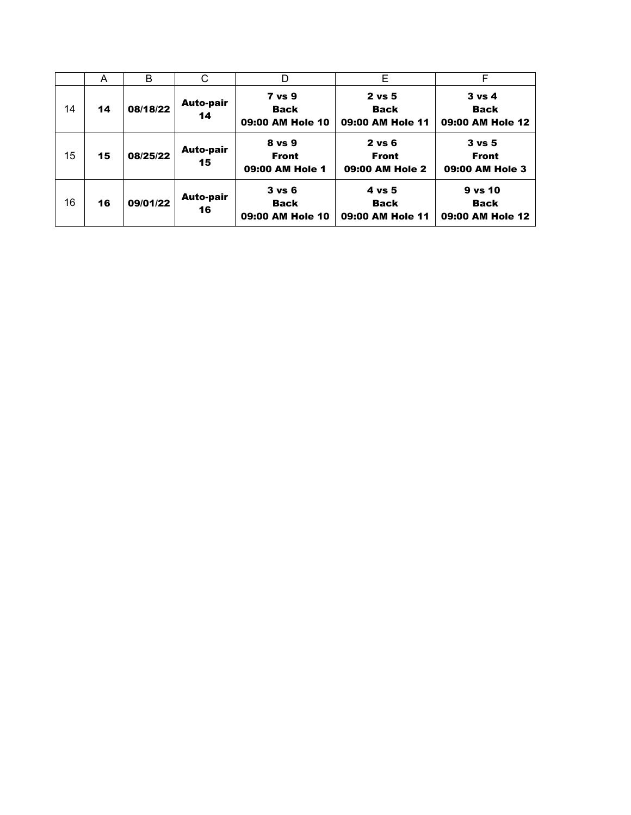|    | A  | B        | С                      | D                                                    | E                                             | F                                                    |
|----|----|----------|------------------------|------------------------------------------------------|-----------------------------------------------|------------------------------------------------------|
| 14 | 14 | 08/18/22 | <b>Auto-pair</b><br>14 | <b>7 vs 9</b><br><b>Back</b><br>09:00 AM Hole 10     | $2$ vs $5$<br><b>Back</b><br>09:00 AM Hole 11 | $3 \text{ vs } 4$<br><b>Back</b><br>09:00 AM Hole 12 |
| 15 | 15 | 08/25/22 | <b>Auto-pair</b><br>15 | 8 vs 9<br><b>Front</b><br>09:00 AM Hole 1            | $2$ vs $6$<br><b>Front</b><br>09:00 AM Hole 2 | $3 \text{ vs } 5$<br><b>Front</b><br>09:00 AM Hole 3 |
| 16 | 16 | 09/01/22 | <b>Auto-pair</b><br>16 | $3 \text{ vs } 6$<br><b>Back</b><br>09:00 AM Hole 10 | $4$ vs 5<br><b>Back</b><br>09:00 AM Hole 11   | $9$ vs $10$<br><b>Back</b><br>09:00 AM Hole 12       |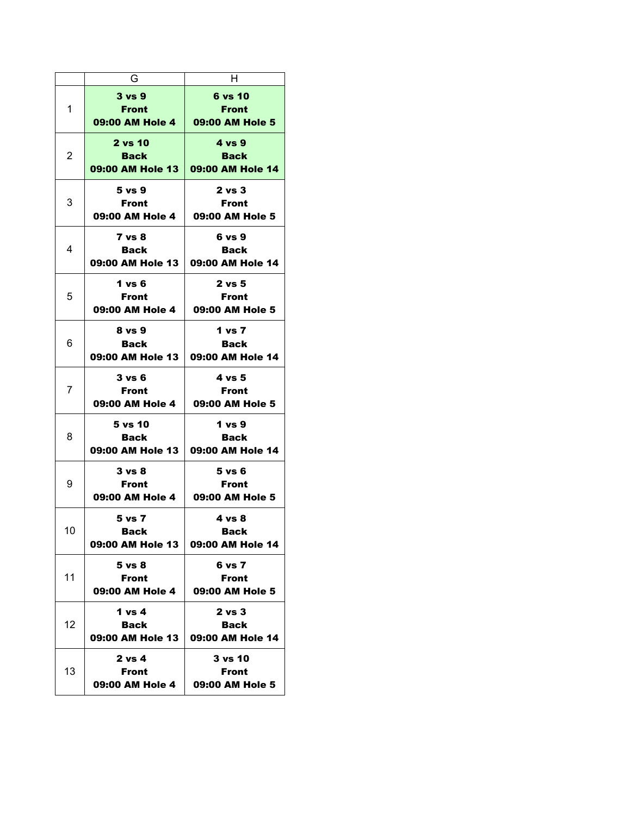|    | G                                             | н                                                    |
|----|-----------------------------------------------|------------------------------------------------------|
| 1  | 3 vs 9<br><b>Front</b><br>09:00 AM Hole 4     | 6 vs 10<br><b>Front</b><br>09:00 AM Hole 5           |
| 2  | 2 vs 10<br><b>Back</b><br>09:00 AM Hole 13    | 4 vs 9<br><b>Back</b><br>09:00 AM Hole 14            |
| 3  | 5 vs 9<br><b>Front</b><br>09:00 AM Hole 4     | 2 vs 3<br><b>Front</b><br>09:00 AM Hole 5            |
| 4  | 7 vs 8<br>Back<br>09:00 AM Hole 13            | 6 vs 9<br>Back<br>09:00 AM Hole 14                   |
| 5  | 1 vs 6<br><b>Front</b><br>09:00 AM Hole 4     | $2$ vs $5$<br><b>Front</b><br>09:00 AM Hole 5        |
| 6  | 8 vs 9<br>Back<br>09:00 AM Hole 13            | 1 vs 7<br><b>Back</b><br>09:00 AM Hole 14            |
| 7  | 3 vs 6<br><b>Front</b><br>09:00 AM Hole 4     | 4 vs 5<br><b>Front</b><br>09:00 AM Hole 5            |
| 8  | 5 vs 10<br>Back<br>09:00 AM Hole 13           | 1 vs 9<br>Back<br>09:00 AM Hole 14                   |
| 9  | 3 vs 8<br><b>Front</b><br>09:00 AM Hole 4     | $5$ vs $6$<br><b>Front</b><br>09:00 AM Hole 5        |
| 10 | 5 vs 7<br><b>Back</b><br>09:00 AM Hole 13     | 4 vs 8<br>Back<br>09:00 AM Hole 14                   |
| 11 | 5 vs 8<br><b>Front</b><br>09:00 AM Hole 4     | 6 vs 7<br><b>Front</b><br>09:00 AM Hole 5            |
| 12 | 1 vs 4<br><b>Back</b><br>09:00 AM Hole 13     | $2 \text{ vs } 3$<br><b>Back</b><br>09:00 AM Hole 14 |
| 13 | $2 \text{ vs } 4$<br>Front<br>09:00 AM Hole 4 | 3 vs 10<br>Front<br>09:00 AM Hole 5                  |